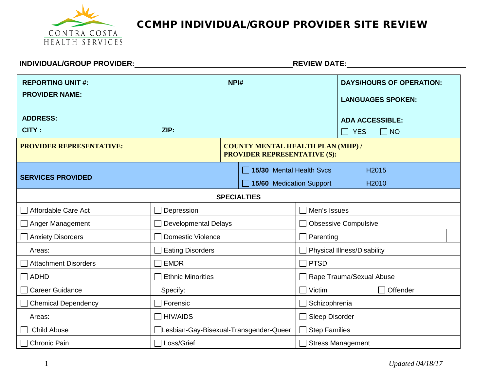

| INDIVIDUAL/GROUP PROVIDER:                        |                                         |                                                                                 | <b>REVIEW DATE:</b>  |                                                             |
|---------------------------------------------------|-----------------------------------------|---------------------------------------------------------------------------------|----------------------|-------------------------------------------------------------|
| <b>REPORTING UNIT #:</b><br><b>PROVIDER NAME:</b> |                                         | NPI#                                                                            |                      | <b>DAYS/HOURS OF OPERATION:</b><br><b>LANGUAGES SPOKEN:</b> |
| <b>ADDRESS:</b>                                   |                                         |                                                                                 |                      | <b>ADA ACCESSIBLE:</b>                                      |
| CITY:                                             | ZIP:                                    |                                                                                 |                      | $\Box$ NO<br>$\Box$<br><b>YES</b>                           |
| <b>PROVIDER REPRESENTATIVE:</b>                   |                                         | <b>COUNTY MENTAL HEALTH PLAN (MHP) /</b><br><b>PROVIDER REPRESENTATIVE (S):</b> |                      |                                                             |
| <b>SERVICES PROVIDED</b>                          |                                         | 15/30 Mental Health Svcs<br>15/60 Medication Support                            |                      | H2015<br>H <sub>2010</sub>                                  |
|                                                   |                                         | <b>SPECIALTIES</b>                                                              |                      |                                                             |
| Affordable Care Act                               | Depression                              |                                                                                 | Men's Issues         |                                                             |
| Anger Management                                  | <b>Developmental Delays</b>             |                                                                                 |                      | <b>Obsessive Compulsive</b>                                 |
| <b>Anxiety Disorders</b>                          | Domestic Violence                       |                                                                                 | Parenting            |                                                             |
| Areas:                                            | <b>Eating Disorders</b>                 |                                                                                 |                      | <b>Physical Illness/Disability</b>                          |
| <b>Attachment Disorders</b>                       | <b>EMDR</b>                             |                                                                                 | <b>PTSD</b>          |                                                             |
| $\Box$ ADHD                                       | <b>Ethnic Minorities</b>                |                                                                                 |                      | Rape Trauma/Sexual Abuse                                    |
| <b>Career Guidance</b>                            | Specify:                                |                                                                                 | Victim               | Offender                                                    |
| Chemical Dependency                               | Forensic                                |                                                                                 | Schizophrenia        |                                                             |
| Areas:                                            | <b>HIV/AIDS</b>                         |                                                                                 | Sleep Disorder       |                                                             |
| <b>Child Abuse</b>                                | □Lesbian-Gay-Bisexual-Transgender-Queer |                                                                                 | <b>Step Families</b> |                                                             |
| <b>Chronic Pain</b>                               | Loss/Grief                              |                                                                                 |                      | <b>Stress Management</b>                                    |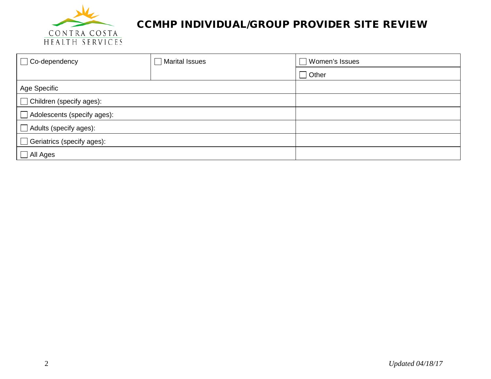

| $\Box$ Co-dependency               | $\Box$ Marital Issues | □ Women's Issues |  |
|------------------------------------|-----------------------|------------------|--|
|                                    |                       | $\Box$ Other     |  |
| Age Specific                       |                       |                  |  |
| $\Box$ Children (specify ages):    |                       |                  |  |
| $\Box$ Adolescents (specify ages): |                       |                  |  |
| Adults (specify ages):             |                       |                  |  |
| $\Box$ Geriatrics (specify ages):  |                       |                  |  |
| $\Box$ All Ages                    |                       |                  |  |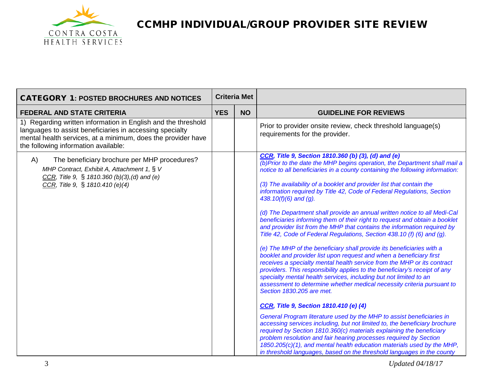

| <b>CATEGORY 1: POSTED BROCHURES AND NOTICES</b>                                                                                                                                                                                   |            | <b>Criteria Met</b> |                                                                                                                                                                                                                                                                                                                                                                                                                                                                                                                                                                                                                                                                                                                                                                                                                                                                                                                                                                                                                                                                                                                                                                                                                                                                                                                                                                                                                                                                                                                                                                                                                                                                                                        |
|-----------------------------------------------------------------------------------------------------------------------------------------------------------------------------------------------------------------------------------|------------|---------------------|--------------------------------------------------------------------------------------------------------------------------------------------------------------------------------------------------------------------------------------------------------------------------------------------------------------------------------------------------------------------------------------------------------------------------------------------------------------------------------------------------------------------------------------------------------------------------------------------------------------------------------------------------------------------------------------------------------------------------------------------------------------------------------------------------------------------------------------------------------------------------------------------------------------------------------------------------------------------------------------------------------------------------------------------------------------------------------------------------------------------------------------------------------------------------------------------------------------------------------------------------------------------------------------------------------------------------------------------------------------------------------------------------------------------------------------------------------------------------------------------------------------------------------------------------------------------------------------------------------------------------------------------------------------------------------------------------------|
| <b>FEDERAL AND STATE CRITERIA</b>                                                                                                                                                                                                 | <b>YES</b> | <b>NO</b>           | <b>GUIDELINE FOR REVIEWS</b>                                                                                                                                                                                                                                                                                                                                                                                                                                                                                                                                                                                                                                                                                                                                                                                                                                                                                                                                                                                                                                                                                                                                                                                                                                                                                                                                                                                                                                                                                                                                                                                                                                                                           |
| 1) Regarding written information in English and the threshold<br>languages to assist beneficiaries in accessing specialty<br>mental health services, at a minimum, does the provider have<br>the following information available: |            |                     | Prior to provider onsite review, check threshold language(s)<br>requirements for the provider.                                                                                                                                                                                                                                                                                                                                                                                                                                                                                                                                                                                                                                                                                                                                                                                                                                                                                                                                                                                                                                                                                                                                                                                                                                                                                                                                                                                                                                                                                                                                                                                                         |
| The beneficiary brochure per MHP procedures?<br>A)<br>MHP Contract, Exhibit A, Attachment 1, § V<br>CCR, Title 9, § 1810.360 (b)(3),(d) and (e)<br>CCR, Title 9, § 1810.410 (e)(4)                                                |            |                     | CCR, Title 9, Section 1810.360 (b) (3), (d) and (e)<br>(b)Prior to the date the MHP begins operation, the Department shall mail a<br>notice to all beneficiaries in a county containing the following information:<br>(3) The availability of a booklet and provider list that contain the<br>information required by Title 42, Code of Federal Regulations, Section<br>438.10(f)(6) and (g).<br>(d) The Department shall provide an annual written notice to all Medi-Cal<br>beneficiaries informing them of their right to request and obtain a booklet<br>and provider list from the MHP that contains the information required by<br>Title 42, Code of Federal Regulations, Section 438.10 (f) (6) and (g).<br>(e) The MHP of the beneficiary shall provide its beneficiaries with a<br>booklet and provider list upon request and when a beneficiary first<br>receives a specialty mental health service from the MHP or its contract<br>providers. This responsibility applies to the beneficiary's receipt of any<br>specialty mental health services, including but not limited to an<br>assessment to determine whether medical necessity criteria pursuant to<br>Section 1830.205 are met.<br>CCR, Title 9, Section 1810.410 (e) (4)<br>General Program literature used by the MHP to assist beneficiaries in<br>accessing services including, but not limited to, the beneficiary brochure<br>required by Section 1810.360(c) materials explaining the beneficiary<br>problem resolution and fair hearing processes required by Section<br>1850.205(c)(1), and mental health education materials used by the MHP,<br>in threshold languages, based on the threshold languages in the county |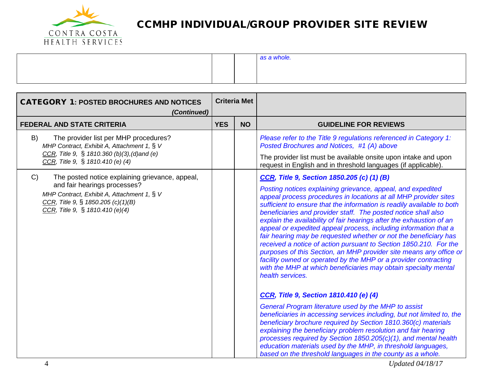

|  | as a whole. |
|--|-------------|
|  |             |
|  |             |

| <b>CATEGORY 1: POSTED BROCHURES AND NOTICES</b><br>(Continued)                                                                                                                                               |            | <b>Criteria Met</b> |                                                                                                                                                                                                                                                                                                                                                                                                                                                                                                                                                                                                                                                                                                                                                                                                                                                       |
|--------------------------------------------------------------------------------------------------------------------------------------------------------------------------------------------------------------|------------|---------------------|-------------------------------------------------------------------------------------------------------------------------------------------------------------------------------------------------------------------------------------------------------------------------------------------------------------------------------------------------------------------------------------------------------------------------------------------------------------------------------------------------------------------------------------------------------------------------------------------------------------------------------------------------------------------------------------------------------------------------------------------------------------------------------------------------------------------------------------------------------|
| <b>FEDERAL AND STATE CRITERIA</b>                                                                                                                                                                            | <b>YES</b> | <b>NO</b>           | <b>GUIDELINE FOR REVIEWS</b>                                                                                                                                                                                                                                                                                                                                                                                                                                                                                                                                                                                                                                                                                                                                                                                                                          |
| The provider list per MHP procedures?<br>B)<br>MHP Contract, Exhibit A, Attachment 1, § V<br>CCR, Title 9, § 1810.360 (b)(3), (d) and (e)<br>CCR, Title 9, $\S$ 1810.410 (e) (4)                             |            |                     | Please refer to the Title 9 regulations referenced in Category 1:<br>Posted Brochures and Notices, #1 (A) above<br>The provider list must be available onsite upon intake and upon<br>request in English and in threshold languages (if applicable).                                                                                                                                                                                                                                                                                                                                                                                                                                                                                                                                                                                                  |
| C)<br>The posted notice explaining grievance, appeal,<br>and fair hearings processes?<br>MHP Contract, Exhibit A, Attachment 1, § V<br>CCR, Title 9, § 1850.205 (c)(1)(B)<br>CCR, Title 9, § 1810.410 (e)(4) |            |                     | <b>CCR, Title 9, Section 1850.205 (c) (1) (B)</b><br>Posting notices explaining grievance, appeal, and expedited<br>appeal process procedures in locations at all MHP provider sites<br>sufficient to ensure that the information is readily available to both<br>beneficiaries and provider staff. The posted notice shall also<br>explain the availability of fair hearings after the exhaustion of an<br>appeal or expedited appeal process, including information that a<br>fair hearing may be requested whether or not the beneficiary has<br>received a notice of action pursuant to Section 1850.210. For the<br>purposes of this Section, an MHP provider site means any office or<br>facility owned or operated by the MHP or a provider contracting<br>with the MHP at which beneficiaries may obtain specialty mental<br>health services. |
|                                                                                                                                                                                                              |            |                     | CCR, Title 9, Section 1810.410 (e) (4)<br>General Program literature used by the MHP to assist<br>beneficiaries in accessing services including, but not limited to, the<br>beneficiary brochure required by Section 1810.360(c) materials<br>explaining the beneficiary problem resolution and fair hearing<br>processes required by Section 1850.205(c)(1), and mental health<br>education materials used by the MHP, in threshold languages,<br>based on the threshold languages in the county as a whole.                                                                                                                                                                                                                                                                                                                                         |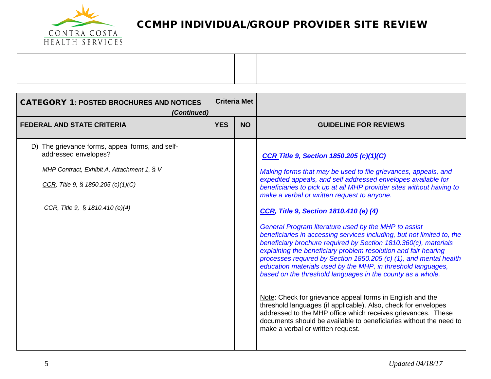

| <b>CATEGORY 1: POSTED BROCHURES AND NOTICES</b><br>(Continued)          | <b>Criteria Met</b> |           |                                                                                                                                                                                                                                                                                                                                                                                                                                                                        |
|-------------------------------------------------------------------------|---------------------|-----------|------------------------------------------------------------------------------------------------------------------------------------------------------------------------------------------------------------------------------------------------------------------------------------------------------------------------------------------------------------------------------------------------------------------------------------------------------------------------|
| <b>FEDERAL AND STATE CRITERIA</b>                                       | <b>YES</b>          | <b>NO</b> | <b>GUIDELINE FOR REVIEWS</b>                                                                                                                                                                                                                                                                                                                                                                                                                                           |
| D) The grievance forms, appeal forms, and self-<br>addressed envelopes? |                     |           | <b>CCR Title 9, Section 1850.205 (c)(1)(C)</b>                                                                                                                                                                                                                                                                                                                                                                                                                         |
| MHP Contract, Exhibit A, Attachment 1, § V                              |                     |           | Making forms that may be used to file grievances, appeals, and                                                                                                                                                                                                                                                                                                                                                                                                         |
| CCR, Title 9, § 1850.205 $(c)(1)(C)$                                    |                     |           | expedited appeals, and self addressed envelopes available for<br>beneficiaries to pick up at all MHP provider sites without having to<br>make a verbal or written request to anyone.                                                                                                                                                                                                                                                                                   |
| CCR, Title 9, § 1810.410 (e)(4)                                         |                     |           | CCR, Title 9, Section 1810.410 (e) (4)                                                                                                                                                                                                                                                                                                                                                                                                                                 |
|                                                                         |                     |           | General Program literature used by the MHP to assist<br>beneficiaries in accessing services including, but not limited to, the<br>beneficiary brochure required by Section 1810.360(c), materials<br>explaining the beneficiary problem resolution and fair hearing<br>processes required by Section 1850.205 (c) (1), and mental health<br>education materials used by the MHP, in threshold languages,<br>based on the threshold languages in the county as a whole. |
|                                                                         |                     |           | Note: Check for grievance appeal forms in English and the<br>threshold languages (if applicable). Also, check for envelopes<br>addressed to the MHP office which receives grievances. These<br>documents should be available to beneficiaries without the need to<br>make a verbal or written request.                                                                                                                                                                 |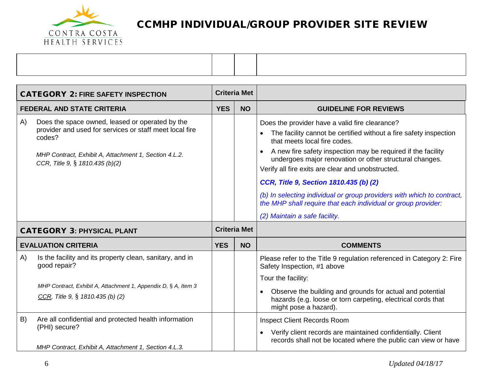

| <b>CATEGORY 2: FIRE SAFETY INSPECTION</b> |                                                                                                                                                                                                                  | <b>Criteria Met</b> |                     |                                                                                                                                                                                                                                                                                                                                                                                                                                                                                                                                                           |
|-------------------------------------------|------------------------------------------------------------------------------------------------------------------------------------------------------------------------------------------------------------------|---------------------|---------------------|-----------------------------------------------------------------------------------------------------------------------------------------------------------------------------------------------------------------------------------------------------------------------------------------------------------------------------------------------------------------------------------------------------------------------------------------------------------------------------------------------------------------------------------------------------------|
|                                           | <b>FEDERAL AND STATE CRITERIA</b>                                                                                                                                                                                | <b>YES</b>          | <b>NO</b>           | <b>GUIDELINE FOR REVIEWS</b>                                                                                                                                                                                                                                                                                                                                                                                                                                                                                                                              |
| A)                                        | Does the space owned, leased or operated by the<br>provider and used for services or staff meet local fire<br>codes?<br>MHP Contract, Exhibit A, Attachment 1, Section 4.L.2.<br>CCR, Title 9, § 1810.435 (b)(2) |                     |                     | Does the provider have a valid fire clearance?<br>The facility cannot be certified without a fire safety inspection<br>that meets local fire codes.<br>A new fire safety inspection may be required if the facility<br>undergoes major renovation or other structural changes.<br>Verify all fire exits are clear and unobstructed.<br>CCR, Title 9, Section 1810.435 (b) (2)<br>(b) In selecting individual or group providers with which to contract,<br>the MHP shall require that each individual or group provider:<br>(2) Maintain a safe facility. |
|                                           | <b>CATEGORY 3: PHYSICAL PLANT</b>                                                                                                                                                                                |                     | <b>Criteria Met</b> |                                                                                                                                                                                                                                                                                                                                                                                                                                                                                                                                                           |
|                                           | <b>EVALUATION CRITERIA</b>                                                                                                                                                                                       | <b>YES</b>          | <b>NO</b>           | <b>COMMENTS</b>                                                                                                                                                                                                                                                                                                                                                                                                                                                                                                                                           |
| A)                                        | Is the facility and its property clean, sanitary, and in<br>good repair?<br>MHP Contract, Exhibit A, Attachment 1, Appendix D, § A, Item 3<br>CCR, Title 9, $\S$ 1810.435 (b) (2)                                |                     |                     | Please refer to the Title 9 regulation referenced in Category 2: Fire<br>Safety Inspection, #1 above<br>Tour the facility:<br>Observe the building and grounds for actual and potential<br>hazards (e.g. loose or torn carpeting, electrical cords that<br>might pose a hazard).                                                                                                                                                                                                                                                                          |
| B)                                        | Are all confidential and protected health information<br>(PHI) secure?<br>MHP Contract, Exhibit A, Attachment 1, Section 4.L.3.                                                                                  |                     |                     | <b>Inspect Client Records Room</b><br>Verify client records are maintained confidentially. Client<br>records shall not be located where the public can view or have                                                                                                                                                                                                                                                                                                                                                                                       |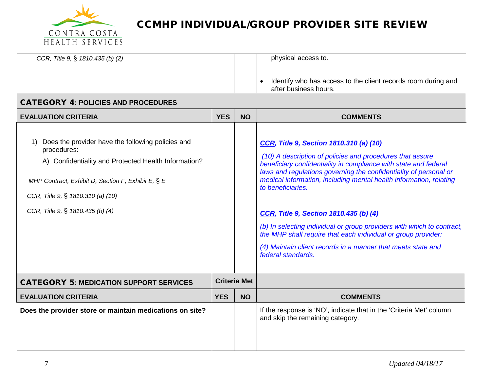

| CCR, Title 9, § 1810.435 (b) (2)                                       |            |                     | physical access to.                                                                                                                                                                                |
|------------------------------------------------------------------------|------------|---------------------|----------------------------------------------------------------------------------------------------------------------------------------------------------------------------------------------------|
|                                                                        |            |                     | Identify who has access to the client records room during and<br>$\bullet$                                                                                                                         |
|                                                                        |            |                     | after business hours.                                                                                                                                                                              |
| <b>CATEGORY 4: POLICIES AND PROCEDURES</b>                             |            |                     |                                                                                                                                                                                                    |
| <b>EVALUATION CRITERIA</b>                                             | <b>YES</b> | <b>NO</b>           | <b>COMMENTS</b>                                                                                                                                                                                    |
|                                                                        |            |                     |                                                                                                                                                                                                    |
| Does the provider have the following policies and<br>1)<br>procedures: |            |                     | CCR, Title 9, Section 1810.310 (a) (10)                                                                                                                                                            |
| A) Confidentiality and Protected Health Information?                   |            |                     | (10) A description of policies and procedures that assure<br>beneficiary confidentiality in compliance with state and federal<br>laws and regulations governing the confidentiality of personal or |
| MHP Contract, Exhibit D, Section F; Exhibit E, § E                     |            |                     | medical information, including mental health information, relating<br>to beneficiaries.                                                                                                            |
| CCR, Title 9, § 1810.310 (a) (10)                                      |            |                     |                                                                                                                                                                                                    |
| CCR, Title 9, $\S$ 1810.435 (b) (4)                                    |            |                     | CCR, Title 9, Section 1810.435 (b) (4)                                                                                                                                                             |
|                                                                        |            |                     | (b) In selecting individual or group providers with which to contract,<br>the MHP shall require that each individual or group provider:                                                            |
|                                                                        |            |                     | (4) Maintain client records in a manner that meets state and<br>federal standards.                                                                                                                 |
| <b>CATEGORY 5: MEDICATION SUPPORT SERVICES</b>                         |            | <b>Criteria Met</b> |                                                                                                                                                                                                    |
| <b>EVALUATION CRITERIA</b>                                             | <b>YES</b> | <b>NO</b>           | <b>COMMENTS</b>                                                                                                                                                                                    |
| Does the provider store or maintain medications on site?               |            |                     | If the response is 'NO', indicate that in the 'Criteria Met' column<br>and skip the remaining category.                                                                                            |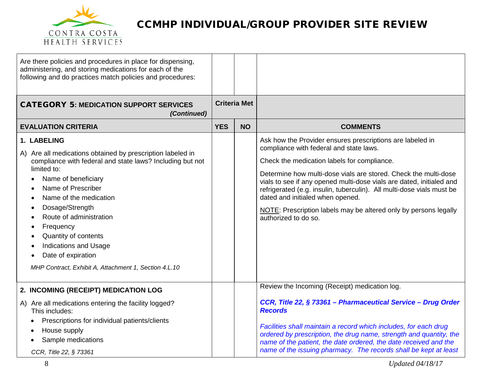![](_page_7_Picture_0.jpeg)

| Are there policies and procedures in place for dispensing,<br>administering, and storing medications for each of the<br>following and do practices match policies and procedures:                                                                                                                                                                                                                                                           |            |                     |                                                                                                                                                                                                                                                                                                                                                                                                                                                                                                         |
|---------------------------------------------------------------------------------------------------------------------------------------------------------------------------------------------------------------------------------------------------------------------------------------------------------------------------------------------------------------------------------------------------------------------------------------------|------------|---------------------|---------------------------------------------------------------------------------------------------------------------------------------------------------------------------------------------------------------------------------------------------------------------------------------------------------------------------------------------------------------------------------------------------------------------------------------------------------------------------------------------------------|
| <b>CATEGORY 5: MEDICATION SUPPORT SERVICES</b><br>(Continued)                                                                                                                                                                                                                                                                                                                                                                               |            | <b>Criteria Met</b> |                                                                                                                                                                                                                                                                                                                                                                                                                                                                                                         |
| <b>EVALUATION CRITERIA</b>                                                                                                                                                                                                                                                                                                                                                                                                                  | <b>YES</b> | <b>NO</b>           | <b>COMMENTS</b>                                                                                                                                                                                                                                                                                                                                                                                                                                                                                         |
| 1. LABELING<br>A) Are all medications obtained by prescription labeled in<br>compliance with federal and state laws? Including but not<br>limited to:<br>Name of beneficiary<br>$\bullet$<br>Name of Prescriber<br>Name of the medication<br>Dosage/Strength<br>Route of administration<br>Frequency<br>Quantity of contents<br><b>Indications and Usage</b><br>Date of expiration<br>MHP Contract, Exhibit A, Attachment 1, Section 4.L.10 |            |                     | Ask how the Provider ensures prescriptions are labeled in<br>compliance with federal and state laws.<br>Check the medication labels for compliance.<br>Determine how multi-dose vials are stored. Check the multi-dose<br>vials to see if any opened multi-dose vials are dated, initialed and<br>refrigerated (e.g. insulin, tuberculin). All multi-dose vials must be<br>dated and initialed when opened.<br>NOTE: Prescription labels may be altered only by persons legally<br>authorized to do so. |
| 2. INCOMING (RECEIPT) MEDICATION LOG<br>A) Are all medications entering the facility logged?<br>This includes:<br>Prescriptions for individual patients/clients<br>٠<br>House supply<br>Sample medications<br>CCR, Title 22, § 73361                                                                                                                                                                                                        |            |                     | Review the Incoming (Receipt) medication log.<br>CCR, Title 22, § 73361 - Pharmaceutical Service - Drug Order<br><b>Records</b><br>Facilities shall maintain a record which includes, for each drug<br>ordered by prescription, the drug name, strength and quantity, the<br>name of the patient, the date ordered, the date received and the<br>name of the issuing pharmacy. The records shall be kept at least                                                                                       |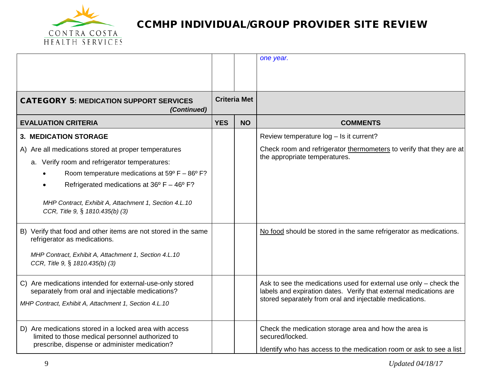![](_page_8_Picture_0.jpeg)

|                                                                                                                                                                                                                                                                                                                                       |            |                     | one year.                                                                                                                                                                                         |
|---------------------------------------------------------------------------------------------------------------------------------------------------------------------------------------------------------------------------------------------------------------------------------------------------------------------------------------|------------|---------------------|---------------------------------------------------------------------------------------------------------------------------------------------------------------------------------------------------|
|                                                                                                                                                                                                                                                                                                                                       |            |                     |                                                                                                                                                                                                   |
| <b>CATEGORY 5: MEDICATION SUPPORT SERVICES</b><br>(Continued)                                                                                                                                                                                                                                                                         |            | <b>Criteria Met</b> |                                                                                                                                                                                                   |
| <b>EVALUATION CRITERIA</b>                                                                                                                                                                                                                                                                                                            | <b>YES</b> | <b>NO</b>           | <b>COMMENTS</b>                                                                                                                                                                                   |
| <b>3. MEDICATION STORAGE</b>                                                                                                                                                                                                                                                                                                          |            |                     | Review temperature log - Is it current?                                                                                                                                                           |
| A) Are all medications stored at proper temperatures<br>a. Verify room and refrigerator temperatures:<br>Room temperature medications at $59^{\circ}$ F - $86^{\circ}$ F?<br>Refrigerated medications at $36^{\circ}$ F – $46^{\circ}$ F?<br>MHP Contract, Exhibit A, Attachment 1, Section 4.L.10<br>CCR, Title 9, § 1810.435(b) (3) |            |                     | Check room and refrigerator thermometers to verify that they are at<br>the appropriate temperatures.                                                                                              |
| B) Verify that food and other items are not stored in the same<br>refrigerator as medications.<br>MHP Contract, Exhibit A, Attachment 1, Section 4.L.10<br>CCR, Title 9, § 1810.435(b) (3)                                                                                                                                            |            |                     | No food should be stored in the same refrigerator as medications.                                                                                                                                 |
| C) Are medications intended for external-use-only stored<br>separately from oral and injectable medications?<br>MHP Contract, Exhibit A, Attachment 1, Section 4.L.10                                                                                                                                                                 |            |                     | Ask to see the medications used for external use only - check the<br>labels and expiration dates. Verify that external medications are<br>stored separately from oral and injectable medications. |
| D) Are medications stored in a locked area with access<br>limited to those medical personnel authorized to<br>prescribe, dispense or administer medication?                                                                                                                                                                           |            |                     | Check the medication storage area and how the area is<br>secured/locked.<br>Identify who has access to the medication room or ask to see a list                                                   |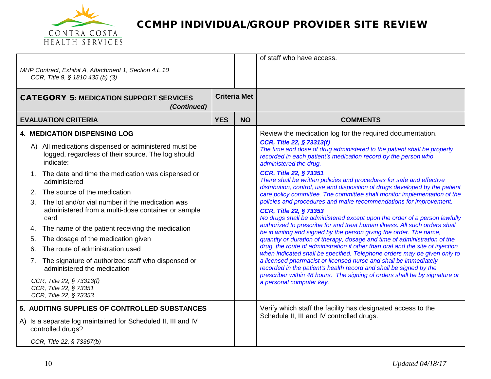![](_page_9_Picture_0.jpeg)

| MHP Contract, Exhibit A, Attachment 1, Section 4.L.10<br>CCR, Title 9, § 1810.435 (b) (3)                                                                                                                                                                                                                                                                                                                                                                   |            |                     | of staff who have access.                                                                                                                                                                                                                                                                                                                                                                                                                                                                                                                                                                                                                                                                                                                                                                                                                                                  |
|-------------------------------------------------------------------------------------------------------------------------------------------------------------------------------------------------------------------------------------------------------------------------------------------------------------------------------------------------------------------------------------------------------------------------------------------------------------|------------|---------------------|----------------------------------------------------------------------------------------------------------------------------------------------------------------------------------------------------------------------------------------------------------------------------------------------------------------------------------------------------------------------------------------------------------------------------------------------------------------------------------------------------------------------------------------------------------------------------------------------------------------------------------------------------------------------------------------------------------------------------------------------------------------------------------------------------------------------------------------------------------------------------|
| <b>CATEGORY 5: MEDICATION SUPPORT SERVICES</b><br>(Continued)                                                                                                                                                                                                                                                                                                                                                                                               |            | <b>Criteria Met</b> |                                                                                                                                                                                                                                                                                                                                                                                                                                                                                                                                                                                                                                                                                                                                                                                                                                                                            |
| <b>EVALUATION CRITERIA</b>                                                                                                                                                                                                                                                                                                                                                                                                                                  | <b>YES</b> | <b>NO</b>           | <b>COMMENTS</b>                                                                                                                                                                                                                                                                                                                                                                                                                                                                                                                                                                                                                                                                                                                                                                                                                                                            |
| <b>4. MEDICATION DISPENSING LOG</b><br>A) All medications dispensed or administered must be<br>logged, regardless of their source. The log should<br>indicate:<br>1. The date and time the medication was dispensed or<br>administered<br>2. The source of the medication<br>The lot and/or vial number if the medication was<br>3.<br>administered from a multi-dose container or sample<br>card<br>The name of the patient receiving the medication<br>4. |            |                     | Review the medication log for the required documentation.<br>CCR, Title 22, § 73313(f)<br>The time and dose of drug administered to the patient shall be properly<br>recorded in each patient's medication record by the person who<br>administered the drug.<br><b>CCR, Title 22, § 73351</b><br>There shall be written policies and procedures for safe and effective<br>distribution, control, use and disposition of drugs developed by the patient<br>care policy committee. The committee shall monitor implementation of the<br>policies and procedures and make recommendations for improvement.<br><b>CCR, Title 22, § 73353</b><br>No drugs shall be administered except upon the order of a person lawfully<br>authorized to prescribe for and treat human illness. All such orders shall<br>be in writing and signed by the person giving the order. The name, |
| The dosage of the medication given<br>5.<br>The route of administration used<br>6.<br>The signature of authorized staff who dispensed or<br>7.<br>administered the medication<br>CCR, Title 22, § 73313(f)<br>CCR, Title 22, § 73351<br>CCR, Title 22, § 73353<br>5. AUDITING SUPPLIES OF CONTROLLED SUBSTANCES                                                                                                                                             |            |                     | quantity or duration of therapy, dosage and time of administration of the<br>drug, the route of administration if other than oral and the site of injection<br>when indicated shall be specified. Telephone orders may be given only to<br>a licensed pharmacist or licensed nurse and shall be immediately<br>recorded in the patient's health record and shall be signed by the<br>prescriber within 48 hours. The signing of orders shall be by signature or<br>a personal computer key.<br>Verify which staff the facility has designated access to the<br>Schedule II, III and IV controlled drugs.                                                                                                                                                                                                                                                                   |
| A) Is a separate log maintained for Scheduled II, III and IV<br>controlled drugs?<br>CCR, Title 22, § 73367(b)                                                                                                                                                                                                                                                                                                                                              |            |                     |                                                                                                                                                                                                                                                                                                                                                                                                                                                                                                                                                                                                                                                                                                                                                                                                                                                                            |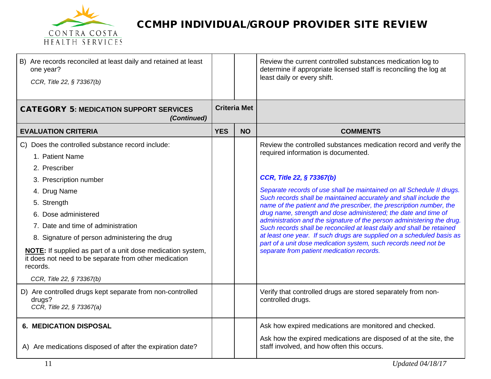![](_page_10_Picture_0.jpeg)

| B) Are records reconciled at least daily and retained at least<br>one year?<br>CCR, Title 22, § 73367(b)                                                                                                                                                                                                           |            |                     | Review the current controlled substances medication log to<br>determine if appropriate licensed staff is reconciling the log at<br>least daily or every shift.                                                                                                                                                                                                                                                                                                                                                                                                                                                                    |
|--------------------------------------------------------------------------------------------------------------------------------------------------------------------------------------------------------------------------------------------------------------------------------------------------------------------|------------|---------------------|-----------------------------------------------------------------------------------------------------------------------------------------------------------------------------------------------------------------------------------------------------------------------------------------------------------------------------------------------------------------------------------------------------------------------------------------------------------------------------------------------------------------------------------------------------------------------------------------------------------------------------------|
| <b>CATEGORY 5: MEDICATION SUPPORT SERVICES</b><br>(Continued)                                                                                                                                                                                                                                                      |            | <b>Criteria Met</b> |                                                                                                                                                                                                                                                                                                                                                                                                                                                                                                                                                                                                                                   |
| <b>EVALUATION CRITERIA</b>                                                                                                                                                                                                                                                                                         | <b>YES</b> | <b>NO</b>           | <b>COMMENTS</b>                                                                                                                                                                                                                                                                                                                                                                                                                                                                                                                                                                                                                   |
| Does the controlled substance record include:<br>C<br>1. Patient Name<br>2. Prescriber                                                                                                                                                                                                                             |            |                     | Review the controlled substances medication record and verify the<br>required information is documented.                                                                                                                                                                                                                                                                                                                                                                                                                                                                                                                          |
| 3. Prescription number                                                                                                                                                                                                                                                                                             |            |                     | <b>CCR, Title 22, § 73367(b)</b>                                                                                                                                                                                                                                                                                                                                                                                                                                                                                                                                                                                                  |
| 4. Drug Name<br>5. Strength<br>6. Dose administered<br>7. Date and time of administration<br>8. Signature of person administering the drug<br><b>NOTE:</b> If supplied as part of a unit dose medication system,<br>it does not need to be separate from other medication<br>records.<br>CCR, Title 22, § 73367(b) |            |                     | Separate records of use shall be maintained on all Schedule II drugs.<br>Such records shall be maintained accurately and shall include the<br>name of the patient and the prescriber, the prescription number, the<br>drug name, strength and dose administered; the date and time of<br>administration and the signature of the person administering the drug.<br>Such records shall be reconciled at least daily and shall be retained<br>at least one year. If such drugs are supplied on a scheduled basis as<br>part of a unit dose medication system, such records need not be<br>separate from patient medication records. |
| D) Are controlled drugs kept separate from non-controlled<br>drugs?<br>CCR, Title 22, § 73367(a)                                                                                                                                                                                                                   |            |                     | Verify that controlled drugs are stored separately from non-<br>controlled drugs.                                                                                                                                                                                                                                                                                                                                                                                                                                                                                                                                                 |
| <b>6. MEDICATION DISPOSAL</b>                                                                                                                                                                                                                                                                                      |            |                     | Ask how expired medications are monitored and checked.                                                                                                                                                                                                                                                                                                                                                                                                                                                                                                                                                                            |
| A) Are medications disposed of after the expiration date?                                                                                                                                                                                                                                                          |            |                     | Ask how the expired medications are disposed of at the site, the<br>staff involved, and how often this occurs.                                                                                                                                                                                                                                                                                                                                                                                                                                                                                                                    |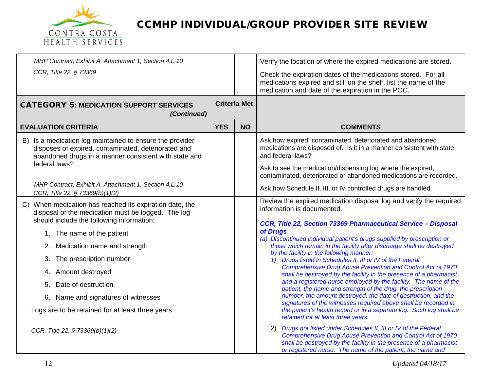![](_page_11_Picture_0.jpeg)

| MHP Contract, Exhibit A, Attachment 1, Section 4.L.10                                                                                                                                                                                                                                                                                                                                                           |            |                     | Verify the location of where the expired medications are stored.                                                                                                                                                                                                                                                                                                                                                                                                                                                                                                                                                                                                                                                                                                                                                                                                                                                                                                       |
|-----------------------------------------------------------------------------------------------------------------------------------------------------------------------------------------------------------------------------------------------------------------------------------------------------------------------------------------------------------------------------------------------------------------|------------|---------------------|------------------------------------------------------------------------------------------------------------------------------------------------------------------------------------------------------------------------------------------------------------------------------------------------------------------------------------------------------------------------------------------------------------------------------------------------------------------------------------------------------------------------------------------------------------------------------------------------------------------------------------------------------------------------------------------------------------------------------------------------------------------------------------------------------------------------------------------------------------------------------------------------------------------------------------------------------------------------|
| CCR, Title 22, § 73369                                                                                                                                                                                                                                                                                                                                                                                          |            |                     | Check the expiration dates of the medications stored. For all<br>medications expired and still on the shelf, list the name of the<br>medication and date of the expiration in the POC.                                                                                                                                                                                                                                                                                                                                                                                                                                                                                                                                                                                                                                                                                                                                                                                 |
| <b>CATEGORY 5: MEDICATION SUPPORT SERVICES</b><br>(Continued)                                                                                                                                                                                                                                                                                                                                                   |            | <b>Criteria Met</b> |                                                                                                                                                                                                                                                                                                                                                                                                                                                                                                                                                                                                                                                                                                                                                                                                                                                                                                                                                                        |
| <b>EVALUATION CRITERIA</b>                                                                                                                                                                                                                                                                                                                                                                                      | <b>YES</b> | <b>NO</b>           | <b>COMMENTS</b>                                                                                                                                                                                                                                                                                                                                                                                                                                                                                                                                                                                                                                                                                                                                                                                                                                                                                                                                                        |
| B) Is a medication log maintained to ensure the provider<br>disposes of expired, contaminated, deteriorated and<br>abandoned drugs in a manner consistent with state and<br>federal laws?<br>MHP Contract, Exhibit A, Attachment 1, Section 4.L.10                                                                                                                                                              |            |                     | Ask how expired, contaminated, deteriorated and abandoned<br>medications are disposed of. Is it in a manner consistent with state<br>and federal laws?<br>Ask to see the medication/dispensing log where the expired,<br>contaminated, deteriorated or abandoned medications are recorded.                                                                                                                                                                                                                                                                                                                                                                                                                                                                                                                                                                                                                                                                             |
| CCR, Title 22, § 73369(b)(1)(2)                                                                                                                                                                                                                                                                                                                                                                                 |            |                     | Ask how Schedule II, III, or IV controlled drugs are handled.                                                                                                                                                                                                                                                                                                                                                                                                                                                                                                                                                                                                                                                                                                                                                                                                                                                                                                          |
| When medication has reached its expiration date, the<br>C)<br>disposal of the medication must be logged. The log<br>should include the following information:<br>1. The name of the patient<br>2. Medication name and strength<br>The prescription number<br>3.<br>4. Amount destroyed<br>Date of destruction<br>5.<br>6. Name and signatures of witnesses<br>Logs are to be retained for at least three years. |            |                     | Review the expired medication disposal log and verify the required<br>information is documented.<br>CCR, Title 22, Section 73369 Pharmaceutical Service - Disposal<br>of Drugs<br>(a) Discontinued individual patient's drugs supplied by prescription or<br>those which remain in the facility after discharge shall be destroyed<br>by the facility in the following manner:<br>1) Drugs listed in Schedules II, III or IV of the Federal<br>Comprehensive Drug Abuse Prevention and Control Act of 1970<br>shall be destroyed by the facility in the presence of a pharmacist<br>and a registered nurse employed by the facility. The name of the<br>patient, the name and strength of the drug, the prescription<br>number, the amount destroyed, the date of destruction, and the<br>signatures of the witnesses required above shall be recorded in<br>the patient's health record or in a separate log. Such log shall be<br>retained for at least three years. |
| CCR, Title 22, § 73369(b)(1)(2)                                                                                                                                                                                                                                                                                                                                                                                 |            |                     | Drugs not listed under Schedules II, III or IV of the Federal<br>2)<br><b>Comprehensive Drug Abuse Prevention and Control Act of 1970</b><br>shall be destroyed by the facility in the presence of a pharmacist<br>or registered nurse. The name of the patient, the name and                                                                                                                                                                                                                                                                                                                                                                                                                                                                                                                                                                                                                                                                                          |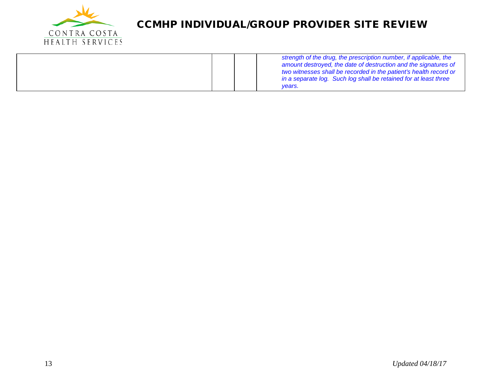![](_page_12_Picture_0.jpeg)

|  | strength of the drug, the prescription number, if applicable, the<br>amount destroyed, the date of destruction and the signatures of<br>two witnesses shall be recorded in the patient's health record or<br>in a separate log. Such log shall be retained for at least three<br>vears. |
|--|-----------------------------------------------------------------------------------------------------------------------------------------------------------------------------------------------------------------------------------------------------------------------------------------|
|--|-----------------------------------------------------------------------------------------------------------------------------------------------------------------------------------------------------------------------------------------------------------------------------------------|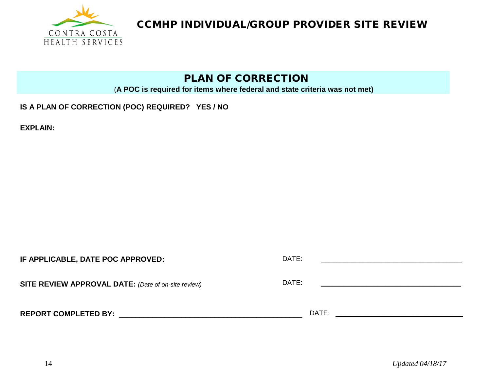![](_page_13_Picture_0.jpeg)

#### PLAN OF CORRECTION

(**A POC is required for items where federal and state criteria was not met)**

#### **IS A PLAN OF CORRECTION (POC) REQUIRED? YES / NO**

**EXPLAIN:** 

| IF APPLICABLE, DATE POC APPROVED:                          | DATE: |  |
|------------------------------------------------------------|-------|--|
| <b>SITE REVIEW APPROVAL DATE:</b> (Date of on-site review) | DATE: |  |
| <b>REPORT COMPLETED BY:</b>                                | DATE: |  |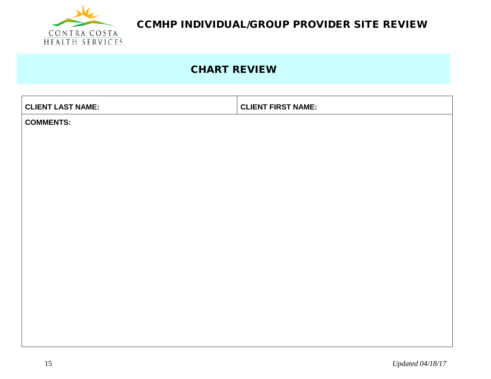![](_page_14_Picture_0.jpeg)

## CHART REVIEW

| <b>CLIENT LAST NAME:</b> | <b>CLIENT FIRST NAME:</b> |
|--------------------------|---------------------------|
| <b>COMMENTS:</b>         |                           |
|                          |                           |
|                          |                           |
|                          |                           |
|                          |                           |
|                          |                           |
|                          |                           |
|                          |                           |
|                          |                           |
|                          |                           |
|                          |                           |
|                          |                           |
|                          |                           |